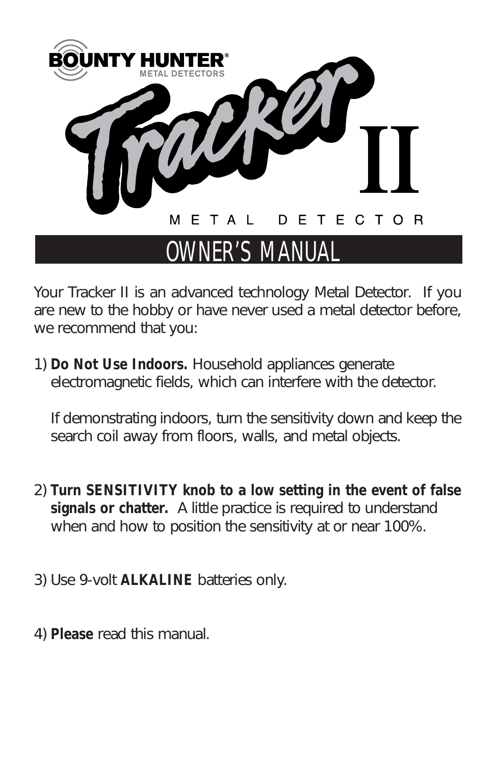

## OWNER'S MANUAL

*Your Tracker II is an advanced technology Metal Detector. If you are new to the hobby or have never used a metal detector before, we recommend that you:*

*1) Do Not Use Indoors. Household appliances generate electromagnetic fields, which can interfere with the detector.* 

*If demonstrating indoors, turn the sensitivity down and keep the search coil away from floors, walls, and metal objects.*

- *2) Turn SENSITIVITY knob to a low setting in the event of false signals or chatter. A little practice is required to understand when and how to position the sensitivity at or near 100%.*
- *3) Use 9-volt ALKALINE batteries only.*
- *4) Please read this manual.*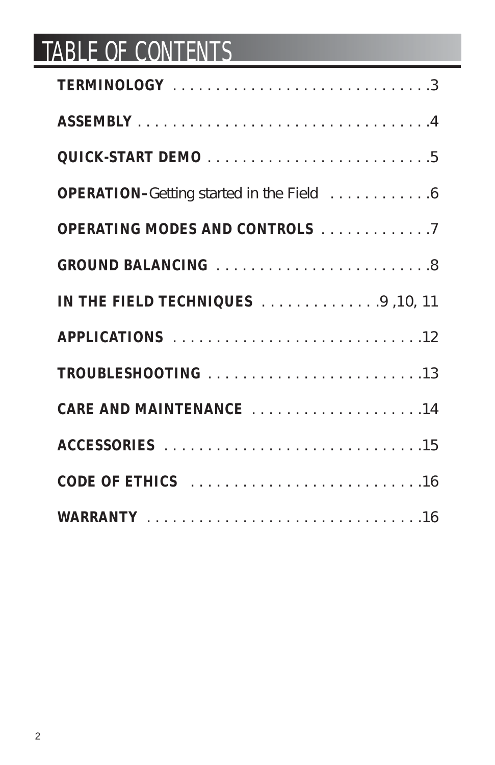# TABLE OF CONTENTS

| TERMINOLOGY 3                                    |
|--------------------------------------------------|
|                                                  |
|                                                  |
| <b>OPERATION-</b> Getting started in the Field 6 |
| <b>OPERATING MODES AND CONTROLS</b> 7            |
| <b>GROUND BALANCING</b> 8                        |
| IN THE FIELD TECHNIQUES 9 , 10, 11               |
| APPLICATIONS 12                                  |
|                                                  |
| <b>CARE AND MAINTENANCE</b> 14                   |
|                                                  |
| <b>CODE OF ETHICS</b> 16                         |
|                                                  |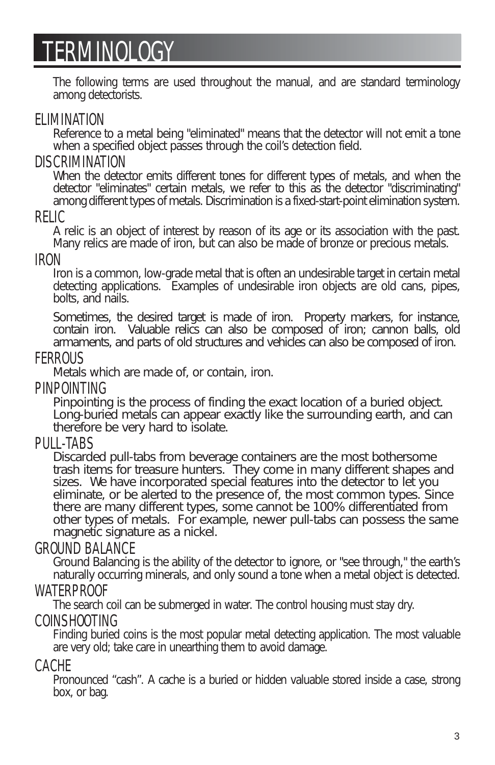## TERMINOLOGY

*The following terms are used throughout the manual, and are standard terminology among detectorists.*

#### ELIMINATION

*Reference to a metal being "eliminated" means that the detector will not emit a tone when a specified object passes through the coil's detection field.*

#### **DISCRIMINATION**

When the detector emits different tones for different types of metals, and when the *detector "eliminates" certain metals, we refer to this as the detector "discriminating" among different types of metals. Discrimination is a fixed-start-point elimination system.*

#### RELIC

*A relic is an object of interest by reason of its age or its association with the past. Many relics are made of iron, but can also be made of bronze or precious metals.*

#### IRON

*Iron is a common, low-grade metal that is often an undesirable target in certain metal detecting applications. Examples of undesirable iron objects are old cans, pipes, bolts, and nails.*

*Sometimes, the desired target is made of iron. Property markers, for instance, contain iron. Valuable relics can also be composed of iron; cannon balls, old armaments, and parts of old structures and vehicles can also be composed of iron.*

#### **FFRROUS**

*Metals which are made of, or contain, iron.*

#### **PINPOINTING**

*Pinpointing is the process of finding the exact location of a buried object. Long-buried metals can appear exactly like the surrounding earth, and can therefore be very hard to isolate.*

#### PULL-TABS

*Discarded pull-tabs from beverage containers are the most bothersome trash items for treasure hunters. They come in many different shapes and sizes. We have incorporated special features into the detector to let you eliminate, or be alerted to the presence of, the most common types. Since there are many different types, some cannot be 100% differentiated from other types of metals. For example, newer pull-tabs can possess the same magnetic signature as a nickel.*

#### GROUND BALANCE

*Ground Balancing is the ability of the detector to ignore, or "see through," the earth's naturally occurring minerals, and only sound a tone when a metal object is detected.*

#### WATERPROOF

*The search coil can be submerged in water. The control housing must stay dry.*

#### COINSHOOTING

*Finding buried coins is the most popular metal detecting application. The most valuable are very old; take care in unearthing them to avoid damage.*

#### CACHE

*Pronounced "cash". A cache is a buried or hidden valuable stored inside a case, strong box, or bag.*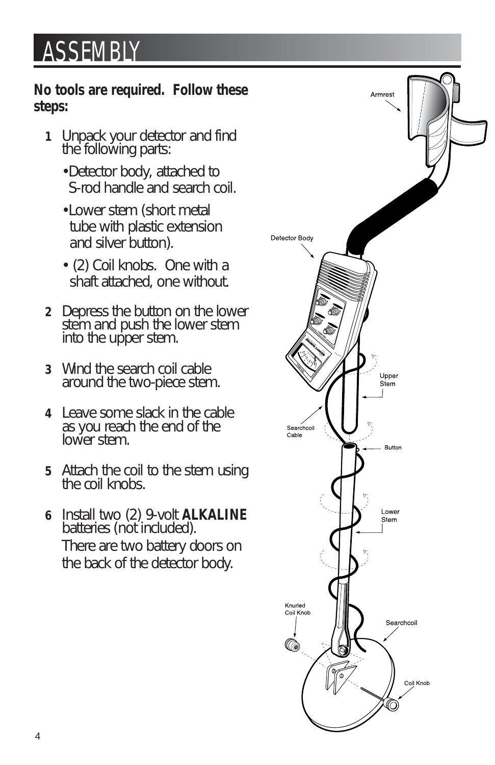## **ASSEMBLY**

### *No tools are required. Follow these steps:*

- *1 Unpack your detector and find the following parts:*
	- *•Detector body, attached to S-rod handle and search coil.*
	- *•Lower stem (short metal tube with plastic extension and silver button).*
	- *(2) Coil knobs. One with a shaft attached, one without.*
- *2 Depress the button on the lower stem and push the lower stem into the upper stem.*
- *3 Wind the search coil cable around the two-piece stem.*
- *4 Leave some slack in the cable as you reach the end of the lower stem.*
- *5 Attach the coil to the stem using the coil knobs.*
- *6 Install two (2) 9-volt ALKALINE batteries (not included). There are two battery doors on the back of the detector body.*

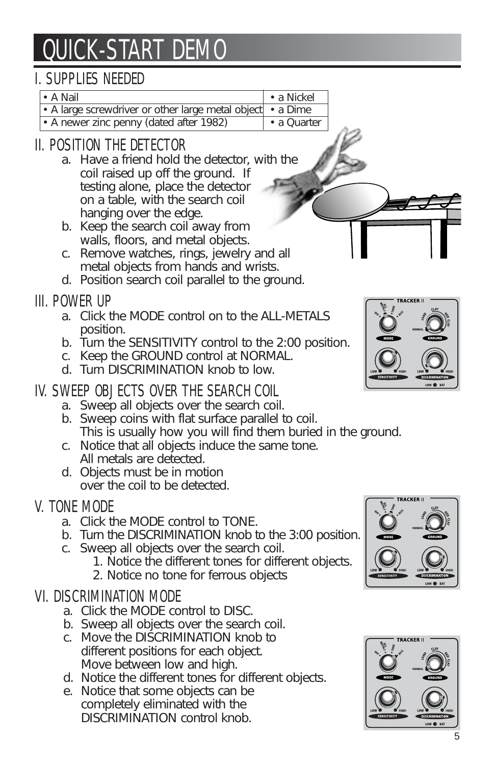# QUICK-START DEMO

## I. SUPPLIES NEEDED

| $\bullet$ A Nail                                           | $\cdot$ a Nickel |
|------------------------------------------------------------|------------------|
| • A large screwdriver or other large metal object • a Dime |                  |

*• A newer zinc penny (dated after 1982) • a Quarter*

## II. POSITION THE DETECTOR

- *a. Have a friend hold the detector, with the coil raised up off the ground. If testing alone, place the detector on a table, with the search coil hanging over the edge.*
- *b. Keep the search coil away from walls, floors, and metal objects.*
- *c. Remove watches, rings, jewelry and all metal objects from hands and wrists.*
- *d. Position search coil parallel to the ground.*

## III. POWER UP

- *a. Click the MODE control on to the ALL-METALS position.*
- *b. Turn the SENSITIVITY control to the 2:00 position.*
- *c. Keep the GROUND control at NORMAL.*
- *d. Turn DISCRIMINATION knob to low.*

## IV. SWEEP OBJECTS OVER THE SEARCH COIL

- *a. Sweep all objects over the search coil.*
- *b. Sweep coins with flat surface parallel to coil. This is usually how you will find them buried in the ground.*
- *c. Notice that all objects induce the same tone. All metals are detected.*
- *d. Objects must be in motion over the coil to be detected.*

## V. TONE MODE

- *a. Click the MODE control to TONE.*
- *b. Turn the DISCRIMINATION knob to the 3:00 position.*
- *c. Sweep all objects over the search coil.*
	- *1. Notice the different tones for different objects.*
	- *2. Notice no tone for ferrous objects*

## VI. DISCRIMINATION MODE

- *a. Click the MODE control to DISC.*
- *b. Sweep all objects over the search coil.*
- *c. Move the DISCRIMINATION knob to different positions for each object. Move between low and high.*
- *d. Notice the different tones for different objects.*
- *e. Notice that some objects can be completely eliminated with the DISCRIMINATION control knob.*







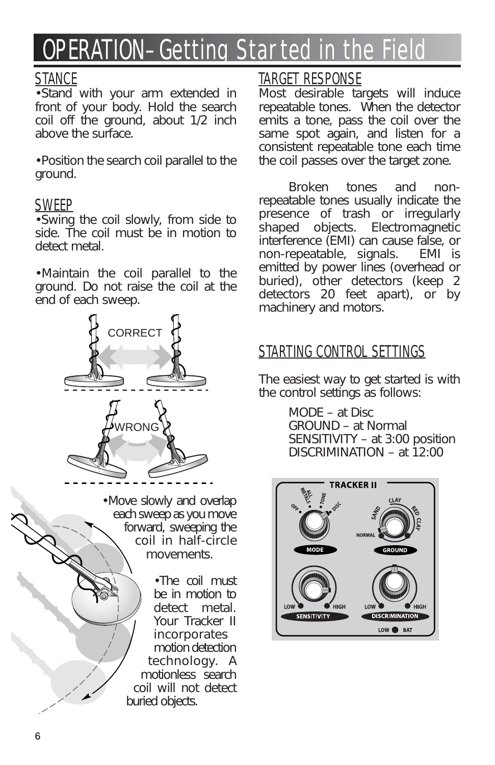# OPERATION–Getting Started in the Field

## **STANCE**

*•Stand with your arm extended in front of your body. Hold the search coil off the ground, about 1/2 inch above the surface.*

*•Position the search coil parallel to the ground.*

### SWEEP

*•Swing the coil slowly, from side to side. The coil must be in motion to detect metal.*

*•Maintain the coil parallel to the ground. Do not raise the coil at the end of each sweep.*



*•Move slowly and overlap each sweep as you move forward, sweeping the coil in half-circle movements.*

> *•The coil must be in motion to detect metal. Your Tracker II incorporates motion detection technology. A motionless search coil will not detect buried objects.*

## TARGET RESPONSE

*Most desirable targets will induce repeatable tones. When the detector emits a tone, pass the coil over the same spot again, and listen for a consistent repeatable tone each time the coil passes over the target zone.*

*Broken tones and nonrepeatable tones usually indicate the presence of trash or irregularly shaped objects. Electromagnetic interference (EMI) can cause false, or non-repeatable, signals. emitted by power lines (overhead or buried), other detectors (keep 2 detectors 20 feet apart), or by machinery and motors.*

## STARTING CONTROL SETTINGS

*The easiest way to get started is with the control settings as follows:*

> *MODE – at Disc GROUND – at Normal SENSITIVITY – at 3:00 position DISCRIMINATION – at 12:00*

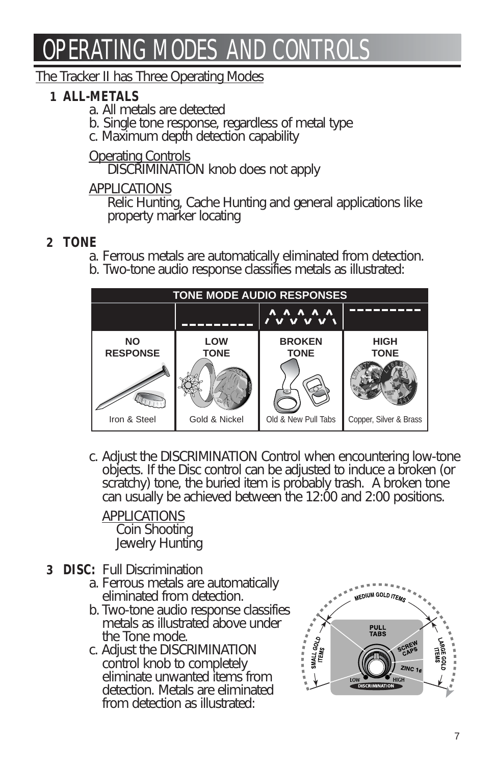# OPERATING MODES AND CONTROL

#### *The Tracker II has Three Operating Modes*

## *1 ALL-METALS*

- *a. All metals are detected*
- *b. Single tone response, regardless of metal type*
- *c. Maximum depth detection capability*

*Operating Controls*

*DISCRIMINATION knob does not apply*

#### *APPLICATIONS*

*Relic Hunting, Cache Hunting and general applications like property marker locating*

### *2 TONE*

- *a. Ferrous metals are automatically eliminated from detection.*
- *b. Two-tone audio response classifies metals as illustrated:*



*c. Adjust the DISCRIMINATION Control when encountering low-tone objects. If the Disc control can be adjusted to induce a broken (or scratchy) tone, the buried item is probably trash. A broken tone can usually be achieved between the 12:00 and 2:00 positions.* 

*APPLICATIONS Coin Shooting Jewelry Hunting*

- *3 DISC: Full Discrimination* 
	- *a. Ferrous metals are automatically eliminated from detection.*
	- *b. Two-tone audio response classifies metals as illustrated above under the Tone mode.*
	- $control$  knob to completely *eliminate unwanted items from detection. Metals are eliminated from detection as illustrated:*

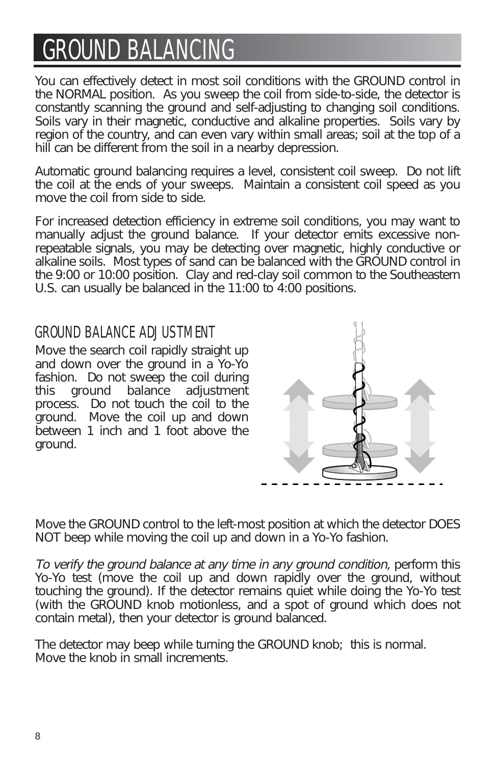# GROUND BALANCING

*You can effectively detect in most soil conditions with the GROUND control in the NORMAL position. As you sweep the coil from side-to-side, the detector is constantly scanning the ground and self-adjusting to changing soil conditions. Soils vary in their magnetic, conductive and alkaline properties. Soils vary by region of the country, and can even vary within small areas; soil at the top of a hill can be different from the soil in a nearby depression.*

*Automatic ground balancing requires a level, consistent coil sweep. Do not lift the coil at the ends of your sweeps. Maintain a consistent coil speed as you move the coil from side to side.*

*For increased detection efficiency in extreme soil conditions, you may want to manually adjust the ground balance. If your detector emits excessive nonrepeatable signals, you may be detecting over magnetic, highly conductive or alkaline soils. Most types of sand can be balanced with the GROUND control in the 9:00 or 10:00 position. Clay and red-clay soil common to the Southeastern U.S. can usually be balanced in the 11:00 to 4:00 positions.*

## GROUND BALANCE ADJUSTMENT

*Move the search coil rapidly straight up and down over the ground in a Yo-Yo fashion. Do not sweep the coil during this ground balance adjustment process. Do not touch the coil to the ground. Move the coil up and down between 1 inch and 1 foot above the ground.* 



*Move the GROUND control to the left-most position at which the detector DOES NOT beep while moving the coil up and down in a Yo-Yo fashion.*

*To verify the ground balance at any time in any ground condition, perform this Yo-Yo test (move the coil up and down rapidly over the ground, without touching the ground). If the detector remains quiet while doing the Yo-Yo test (with the GROUND knob motionless, and a spot of ground which does not contain metal), then your detector is ground balanced.*

*The detector may beep while turning the GROUND knob; this is normal. Move the knob in small increments.*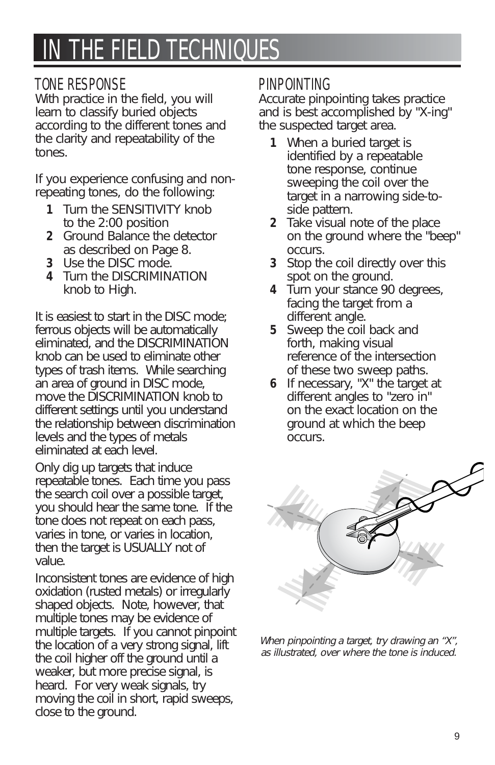## IN THE FIELD TECHNIQUES

#### TONE RESPONSE

*With practice in the field, you will learn to classify buried objects according to the different tones and the clarity and repeatability of the tones.*

*If you experience confusing and nonrepeating tones, do the following:*

- *1 Turn the SENSITIVITY knob to the 2:00 position*
- *2 Ground Balance the detector as described on Page 8.*
- *3 Use the DISC mode.*
- *4 Turn the DISCRIMINATION knob to High.*

*It is easiest to start in the DISC mode; ferrous objects will be automatically eliminated, and the DISCRIMINATION knob can be used to eliminate other types of trash items. While searching an area of ground in DISC mode, move the DISCRIMINATION knob to different settings until you understand the relationship between discrimination levels and the types of metals eliminated at each level.*

*Only dig up targets that induce repeatable tones. Each time you pass the search coil over a possible target, you should hear the same tone. If the tone does not repeat on each pass, varies in tone, or varies in location, then the target is USUALLY not of value.*

*Inconsistent tones are evidence of high oxidation (rusted metals) or irregularly shaped objects. Note, however, that multiple tones may be evidence of multiple targets. If you cannot pinpoint the location of a very strong signal, lift the coil higher off the ground until a weaker, but more precise signal, is heard. For very weak signals, try moving the coil in short, rapid sweeps, close to the ground.*

#### PINPOINTING

*Accurate pinpointing takes practice and is best accomplished by "X-ing" the suspected target area.*

- *1 When a buried target is identified by a repeatable tone response, continue sweeping the coil over the target in a narrowing side-toside pattern.*
- *2 Take visual note of the place on the ground where the "beep" occurs.*
- *3 Stop the coil directly over this spot on the ground.*
- *4 Turn your stance 90 degrees, facing the target from a different angle.*
- *5 Sweep the coil back and forth, making visual reference of the intersection of these two sweep paths.*
- *6 If necessary, "X" the target at different angles to "zero in" on the exact location on the ground at which the beep occurs.*



*When pinpointing a target, try drawing an "X", as illustrated, over where the tone is induced.*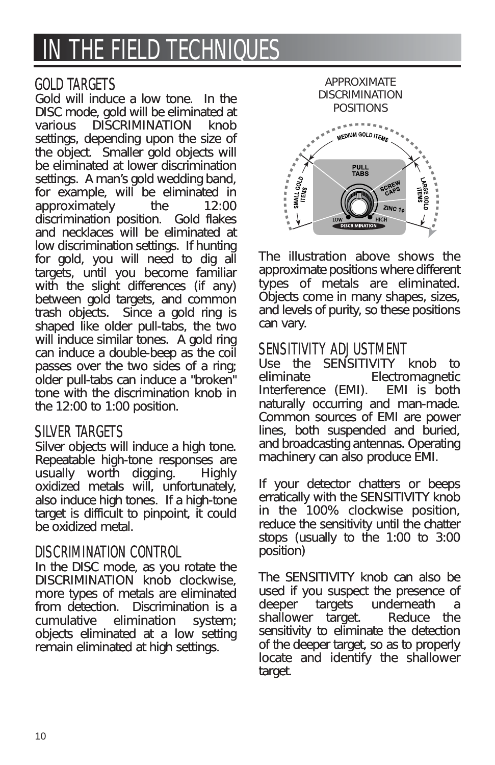## IN THE FIELD TECHNIQUES

#### GOLD TARGETS

*Gold will induce a low tone. In the DISC mode, gold will be eliminated at various DISCRIMINATION knob settings, depending upon the size of the object. Smaller gold objects will be eliminated at lower discrimination settings. A man's gold wedding band, for example, will be eliminated in approximately the 12:00 discrimination position. Gold flakes and necklaces will be eliminated at low discrimination settings. If hunting for gold, you will need to dig all targets, until you become familiar with the slight differences (if any) between gold targets, and common trash objects. Since a gold ring is shaped like older pull-tabs, the two will induce similar tones. A gold ring can induce a double-beep as the coil passes over the two sides of a ring; older pull-tabs can induce a "broken" tone with the discrimination knob in the 12:00 to 1:00 position.*

#### SILVER TARGETS

*Silver objects will induce a high tone. Repeatable high-tone responses are usually worth digging. Highly oxidized metals will, unfortunately, also induce high tones. If a high-tone target is difficult to pinpoint, it could be oxidized metal.*

#### DISCRIMINATION CONTROL

*In the DISC mode, as you rotate the DISCRIMINATION knob clockwise, more types of metals are eliminated from detection. Discrimination is a*  $elimination$  system; *objects eliminated at a low setting remain eliminated at high settings.*



*The illustration above shows the approximate positions where different types of metals are eliminated. Objects come in many shapes, sizes, and levels of purity, so these positions can vary.*

#### SENSITIVITY ADJUSTMENT

*Use the SENSITIVITY knob to eliminate Electromagnetic Interference (EMI). EMI is both naturally occurring and man-made. Common sources of EMI are power lines, both suspended and buried, and broadcasting antennas. Operating machinery can also produce EMI.*

*If your detector chatters or beeps erratically with the SENSITIVITY knob in the 100% clockwise position, reduce the sensitivity until the chatter stops (usually to the 1:00 to 3:00 position)*

*The SENSITIVITY knob can also be used if you suspect the presence of deeper targets underneath a shallower target. Reduce the sensitivity to eliminate the detection of the deeper target, so as to properly locate and identify the shallower target.*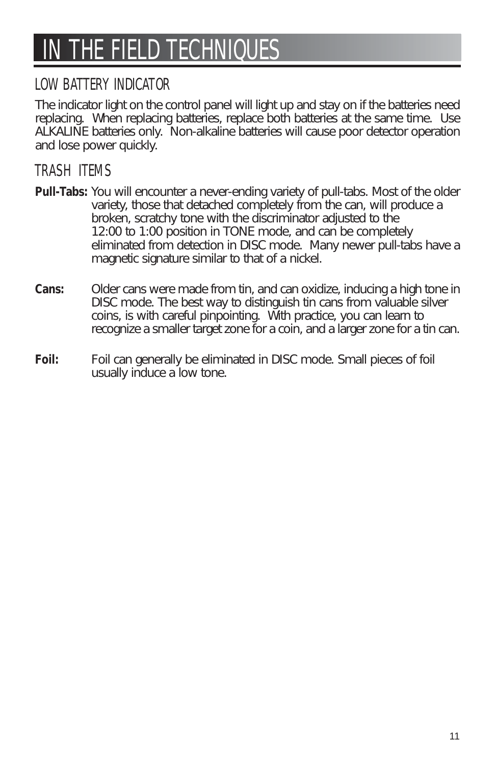# IN THE FIELD TECHNIQUES

## LOW BATTERY INDICATOR

*The indicator light on the control panel will light up and stay on if the batteries need replacing. When replacing batteries, replace both batteries at the same time. Use ALKALINE batteries only. Non-alkaline batteries will cause poor detector operation and lose power quickly.*

## TRASH ITEMS

- *Pull-Tabs: You will encounter a never-ending variety of pull-tabs. Most of the older variety, those that detached completely from the can, will produce a broken, scratchy tone with the discriminator adjusted to the 12:00 to 1:00 position in TONE mode, and can be completely eliminated from detection in DISC mode. Many newer pull-tabs have a magnetic signature similar to that of a nickel.*
- *Cans: Older cans were made from tin, and can oxidize, inducing a high tone in DISC mode. The best way to distinguish tin cans from valuable silver coins, is with careful pinpointing. With practice, you can learn to recognize a smaller target zone for a coin, and a larger zone for a tin can.*
- *Foil: Foil can generally be eliminated in DISC mode. Small pieces of foil usually induce a low tone.*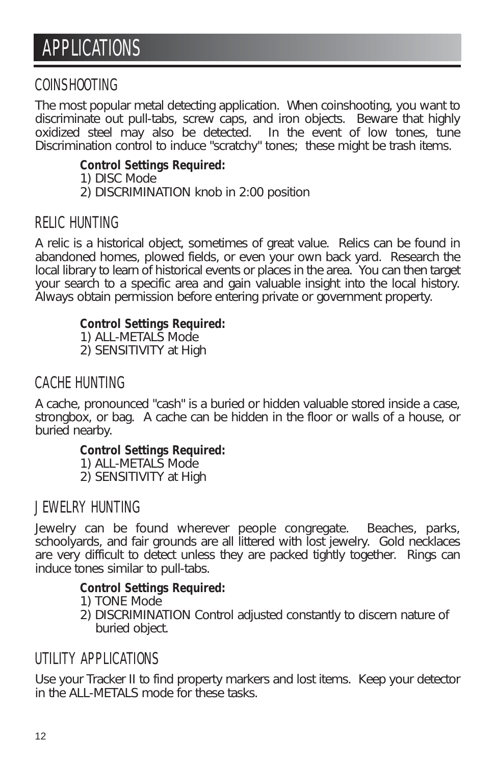#### COINSHOOTING

*The most popular metal detecting application. When coinshooting, you want to discriminate out pull-tabs, screw caps, and iron objects. Beware that highly oxidized steel may also be detected. In the event of low tones, tune Discrimination control to induce "scratchy" tones; these might be trash items.*

#### *Control Settings Required:*

- *1) DISC Mode*
- *2) DISCRIMINATION knob in 2:00 position*

### RELIC HUNTING

*A relic is a historical object, sometimes of great value. Relics can be found in abandoned homes, plowed fields, or even your own back yard. Research the local library to learn of historical events or places in the area. You can then target your search to a specific area and gain valuable insight into the local history. Always obtain permission before entering private or government property.*

#### *Control Settings Required:*

*1) ALL-METALS Mode 2) SENSITIVITY at High*

### CACHE HUNTING

*A cache, pronounced "cash" is a buried or hidden valuable stored inside a case, strongbox, or bag. A cache can be hidden in the floor or walls of a house, or buried nearby.*

#### *Control Settings Required:*

- *1) ALL-METALS Mode*
- *2) SENSITIVITY at High*

### JEWELRY HUNTING

*Jewelry can be found wherever people congregate. Beaches, parks, schoolyards, and fair grounds are all littered with lost jewelry. Gold necklaces are very difficult to detect unless they are packed tightly together. Rings can induce tones similar to pull-tabs.*

#### *Control Settings Required:*

- *1) TONE Mode*
- *2) DISCRIMINATION Control adjusted constantly to discern nature of buried object.*

### UTILITY APPLICATIONS

*Use your Tracker II to find property markers and lost items. Keep your detector in the ALL-METALS mode for these tasks.*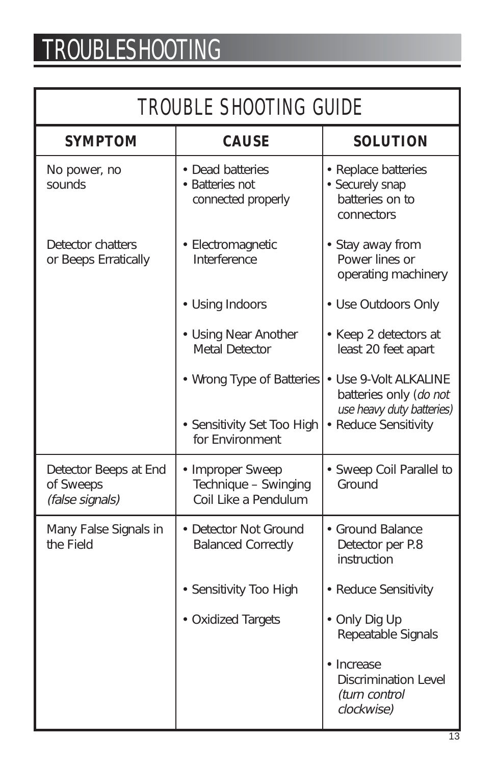# TROUBLESHOOTING

|  | <b>TROUBLE SHOOTING GUIDE</b> |  |
|--|-------------------------------|--|
|--|-------------------------------|--|

| <b>SYMPTOM</b>                                        | <b>CAUSE</b>                                                     | <b>SOLUTION</b>                                                         |
|-------------------------------------------------------|------------------------------------------------------------------|-------------------------------------------------------------------------|
| No power, no<br>sounds                                | • Dead batteries<br>• Batteries not<br>connected properly        | • Replace batteries<br>• Securely snap<br>batteries on to<br>connectors |
| Detector chatters<br>or Beeps Erratically             | • Electromagnetic<br>Interference                                | • Stay away from<br>Power lines or<br>operating machinery               |
|                                                       | • Using Indoors                                                  | • Use Outdoors Only                                                     |
|                                                       | • Using Near Another<br><b>Metal Detector</b>                    | • Keep 2 detectors at<br>least 20 feet apart                            |
|                                                       | • Wrong Type of Batteries                                        | • Use 9-Volt ALKALINE<br>batteries only (do not                         |
|                                                       | • Sensitivity Set Too High<br>for Environment                    | use heavy duty batteries)<br>• Reduce Sensitivity                       |
| Detector Beeps at End<br>of Sweeps<br>(false signals) | • Improper Sweep<br>Technique - Swinging<br>Coil Like a Pendulum | • Sweep Coil Parallel to<br>Ground                                      |
| Many False Signals in<br>the Field                    | • Detector Not Ground<br><b>Balanced Correctly</b>               | • Ground Balance<br>Detector per P.8<br>instruction                     |
|                                                       | • Sensitivity Too High                                           | • Reduce Sensitivity                                                    |
|                                                       | • Oxidized Targets                                               | • Only Dig Up<br>Repeatable Signals                                     |
|                                                       |                                                                  | • Increase<br>Discrimination Level<br>(turn control<br>clockwise)       |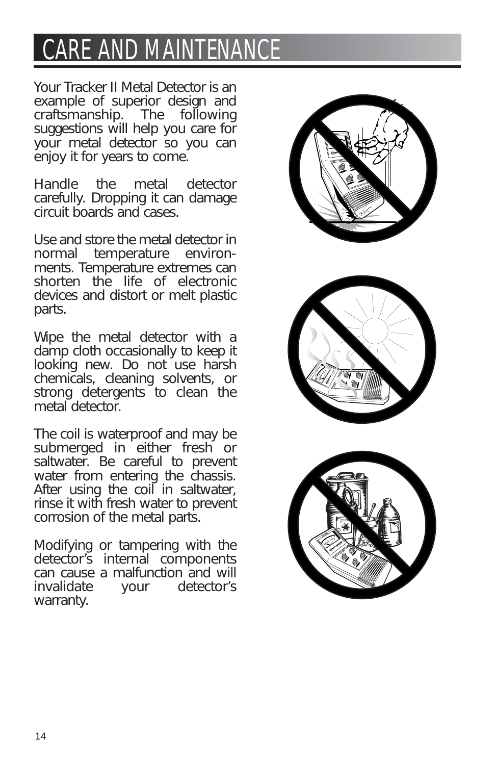# **CARE AND MAINTENA**

*Your Tracker II Metal Detector is an example of superior design and craftsmanship. The following suggestions will help you care for your metal detector so you can enjoy it for years to come.*

*Handle the metal detector carefully. Dropping it can damage circuit boards and cases.*

*Use and store the metal detector in normal temperature environments. Temperature extremes can shorten the life of electronic devices and distort or melt plastic parts.*

*Wipe the metal detector with a damp cloth occasionally to keep it looking new. Do not use harsh chemicals, cleaning solvents, or strong detergents to clean the metal detector.*

*The coil is waterproof and may be submerged in either fresh or saltwater. Be careful to prevent water from entering the chassis. After using the coil in saltwater, rinse it with fresh water to prevent corrosion of the metal parts.*

*Modifying or tampering with the detector's internal components can cause a malfunction and will invalidate your detector's warranty.* 





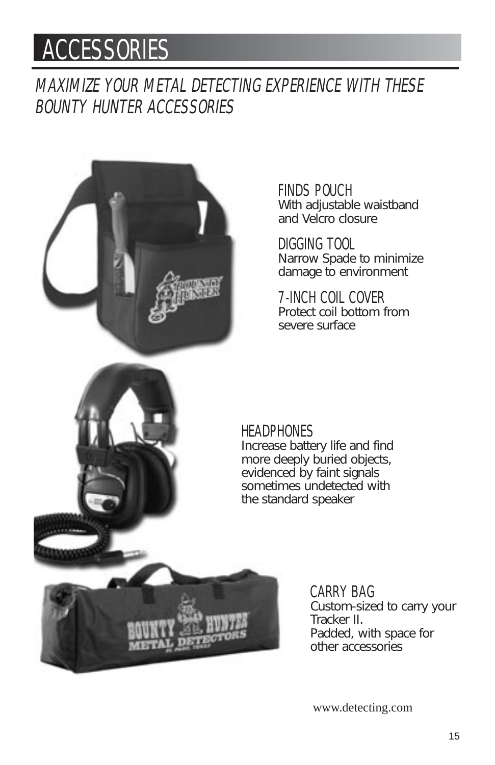## ACCESSORIES

MAXIMIZE YOUR METAL DETECTING EXPERIENCE WITH THESE BOUNTY HUNTER ACCESSORIES



FINDS POUCH *With adjustable waistband and Velcro closure*

DIGGING TOOL *Narrow Spade to minimize damage to environment*

7-INCH COIL COVER *Protect coil bottom from severe surface* 

#### **HEADPHONES**

*Increase battery life and find more deeply buried objects, evidenced by faint signals sometimes undetected with the standard speaker*

> CARRY BAG *Custom-sized to carry your Tracker II. Padded, with space for other accessories*

www.detecting.com